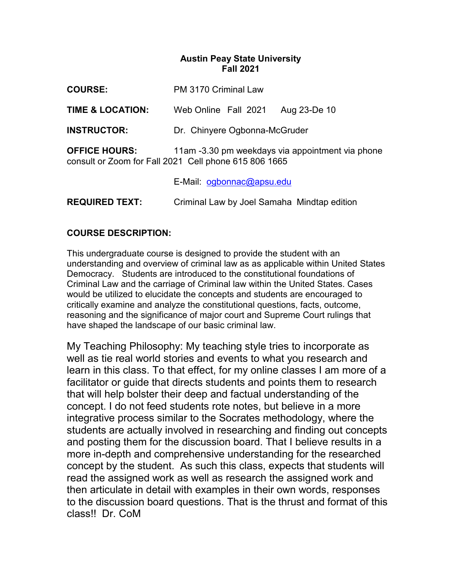#### **Austin Peay State University Fall 2021**

| <b>COURSE:</b>                                                                                                                    | PM 3170 Criminal Law                        |  |  |
|-----------------------------------------------------------------------------------------------------------------------------------|---------------------------------------------|--|--|
| <b>TIME &amp; LOCATION:</b>                                                                                                       | Web Online Fall 2021<br>Aug 23-De 10        |  |  |
| <b>INSTRUCTOR:</b>                                                                                                                | Dr. Chinyere Ogbonna-McGruder               |  |  |
| <b>OFFICE HOURS:</b><br>11am -3.30 pm weekdays via appointment via phone<br>consult or Zoom for Fall 2021 Cell phone 615 806 1665 |                                             |  |  |
|                                                                                                                                   | E-Mail: ogbonnac@apsu.edu                   |  |  |
| <b>REQUIRED TEXT:</b>                                                                                                             | Criminal Law by Joel Samaha Mindtap edition |  |  |

## **COURSE DESCRIPTION:**

This undergraduate course is designed to provide the student with an understanding and overview of criminal law as as applicable within United States Democracy. Students are introduced to the constitutional foundations of Criminal Law and the carriage of Criminal law within the United States. Cases would be utilized to elucidate the concepts and students are encouraged to critically examine and analyze the constitutional questions, facts, outcome, reasoning and the significance of major court and Supreme Court rulings that have shaped the landscape of our basic criminal law.

My Teaching Philosophy: My teaching style tries to incorporate as well as tie real world stories and events to what you research and learn in this class. To that effect, for my online classes I am more of a facilitator or guide that directs students and points them to research that will help bolster their deep and factual understanding of the concept. I do not feed students rote notes, but believe in a more integrative process similar to the Socrates methodology, where the students are actually involved in researching and finding out concepts and posting them for the discussion board. That I believe results in a more in-depth and comprehensive understanding for the researched concept by the student. As such this class, expects that students will read the assigned work as well as research the assigned work and then articulate in detail with examples in their own words, responses to the discussion board questions. That is the thrust and format of this class!! Dr. CoM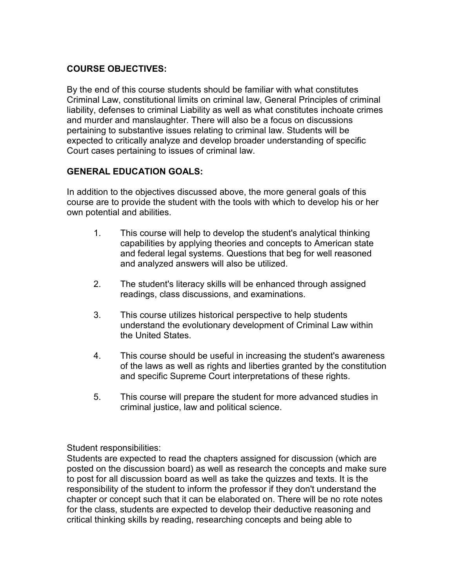# **COURSE OBJECTIVES:**

By the end of this course students should be familiar with what constitutes Criminal Law, constitutional limits on criminal law, General Principles of criminal liability, defenses to criminal Liability as well as what constitutes inchoate crimes and murder and manslaughter. There will also be a focus on discussions pertaining to substantive issues relating to criminal law. Students will be expected to critically analyze and develop broader understanding of specific Court cases pertaining to issues of criminal law.

## **GENERAL EDUCATION GOALS:**

In addition to the objectives discussed above, the more general goals of this course are to provide the student with the tools with which to develop his or her own potential and abilities.

- 1. This course will help to develop the student's analytical thinking capabilities by applying theories and concepts to American state and federal legal systems. Questions that beg for well reasoned and analyzed answers will also be utilized.
- 2. The student's literacy skills will be enhanced through assigned readings, class discussions, and examinations.
- 3. This course utilizes historical perspective to help students understand the evolutionary development of Criminal Law within the United States.
- 4. This course should be useful in increasing the student's awareness of the laws as well as rights and liberties granted by the constitution and specific Supreme Court interpretations of these rights.
- 5. This course will prepare the student for more advanced studies in criminal justice, law and political science.

Student responsibilities:

Students are expected to read the chapters assigned for discussion (which are posted on the discussion board) as well as research the concepts and make sure to post for all discussion board as well as take the quizzes and texts. It is the responsibility of the student to inform the professor if they don't understand the chapter or concept such that it can be elaborated on. There will be no rote notes for the class, students are expected to develop their deductive reasoning and critical thinking skills by reading, researching concepts and being able to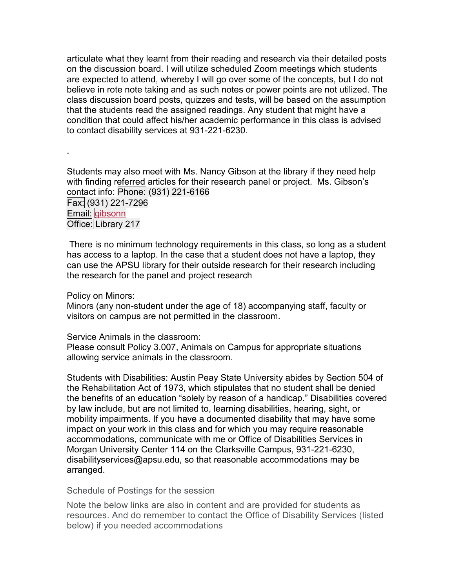articulate what they learnt from their reading and research via their detailed posts on the discussion board. I will utilize scheduled Zoom meetings which students are expected to attend, whereby I will go over some of the concepts, but I do not believe in rote note taking and as such notes or power points are not utilized. The class discussion board posts, quizzes and tests, will be based on the assumption that the students read the assigned readings. Any student that might have a condition that could affect his/her academic performance in this class is advised to contact disability services at 931-221-6230.

Students may also meet with Ms. Nancy Gibson at the library if they need help with finding referred articles for their research panel or project. Ms. Gibson's contact info: Phone: (931) 221-6166 Fax: (931) 221-7296 Email: [gibsonn](mailto:gibsonn@apsu.edu) Office: Library 217

There is no minimum technology requirements in this class, so long as a student has access to a laptop. In the case that a student does not have a laptop, they can use the APSU library for their outside research for their research including the research for the panel and project research

Policy on Minors:

.

Minors (any non-student under the age of 18) accompanying staff, faculty or visitors on campus are not permitted in the classroom.

Service Animals in the classroom:

Please consult Policy 3.007, Animals on Campus for appropriate situations allowing service animals in the classroom.

Students with Disabilities: Austin Peay State University abides by Section 504 of the Rehabilitation Act of 1973, which stipulates that no student shall be denied the benefits of an education "solely by reason of a handicap." Disabilities covered by law include, but are not limited to, learning disabilities, hearing, sight, or mobility impairments. If you have a documented disability that may have some impact on your work in this class and for which you may require reasonable accommodations, communicate with me or Office of Disabilities Services in Morgan University Center 114 on the Clarksville Campus, 931-221-6230, disabilityservices@apsu.edu, so that reasonable accommodations may be arranged.

Schedule of Postings for the session

Note the below links are also in content and are provided for students as resources. And do remember to contact the Office of Disability Services (listed below) if you needed accommodations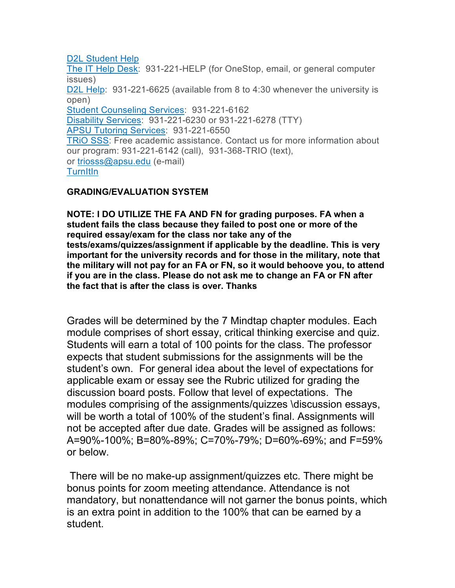D2L [Student](http://www.apsu.edu/online/student-d2l-help) Help

The IT Help [Desk:](https://govstech.apsu.edu/) 931-221-HELP (for OneStop, email, or general computer issues) D2L [Help:](http://www.apsu.edu/online/technical-support/index.php) 931-221-6625 (available from 8 to 4:30 whenever the university is

open)

Student [Counseling Services:](http://www.apsu.edu/counseling/) 931-221-6162

[Disability](http://www.apsu.edu/disability/) Services: 931-221-6230 or 931-221-6278 (TTY)

[APSU Tutoring Services:](http://www.apsu.edu/asc/) 931-221-6550

[TRiO](http://www.apsu.edu/sss/) SSS: Free academic assistance. Contact us for more information about our program: 931-221-6142 (call), 931-368-TRIO (text), or [triosss@apsu.edu](mailto:triosss@apsu.edu) (e-mail)

**[TurnItIn](http://turnitin.com/static/index.php)** 

# **GRADING/EVALUATION SYSTEM**

**NOTE: I DO UTILIZE THE FA AND FN for grading purposes. FA when a student fails the class because they failed to post one or more of the required essay/exam for the class nor take any of the tests/exams/quizzes/assignment if applicable by the deadline. This is very important for the university records and for those in the military, note that the military will not pay for an FA or FN, so it would behoove you, to attend if you are in the class. Please do not ask me to change an FA or FN after the fact that is after the class is over. Thanks**

Grades will be determined by the 7 Mindtap chapter modules. Each module comprises of short essay, critical thinking exercise and quiz. Students will earn a total of 100 points for the class. The professor expects that student submissions for the assignments will be the student's own. For general idea about the level of expectations for applicable exam or essay see the Rubric utilized for grading the discussion board posts. Follow that level of expectations. The modules comprising of the assignments/quizzes \discussion essays, will be worth a total of 100% of the student's final. Assignments will not be accepted after due date. Grades will be assigned as follows: A=90%-100%; B=80%-89%; C=70%-79%; D=60%-69%; and F=59% or below.

There will be no make-up assignment/quizzes etc. There might be bonus points for zoom meeting attendance. Attendance is not mandatory, but nonattendance will not garner the bonus points, which is an extra point in addition to the 100% that can be earned by a student.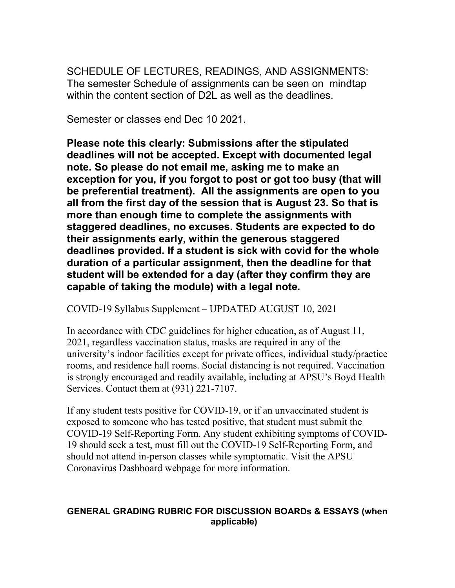SCHEDULE OF LECTURES, READINGS, AND ASSIGNMENTS: The semester Schedule of assignments can be seen on mindtap within the content section of D2L as well as the deadlines.

Semester or classes end Dec 10 2021.

**Please note this clearly: Submissions after the stipulated deadlines will not be accepted. Except with documented legal note. So please do not email me, asking me to make an exception for you, if you forgot to post or got too busy (that will be preferential treatment). All the assignments are open to you all from the first day of the session that is August 23. So that is more than enough time to complete the assignments with staggered deadlines, no excuses. Students are expected to do their assignments early, within the generous staggered deadlines provided. If a student is sick with covid for the whole duration of a particular assignment, then the deadline for that student will be extended for a day (after they confirm they are capable of taking the module) with a legal note.** 

COVID-19 Syllabus Supplement – UPDATED AUGUST 10, 2021

In accordance with CDC guidelines for higher education, as of August 11, 2021, regardless vaccination status, masks are required in any of the university's indoor facilities except for private offices, individual study/practice rooms, and residence hall rooms. Social distancing is not required. Vaccination is strongly encouraged and readily available, including at APSU's Boyd Health Services. Contact them at (931) 221-7107.

If any student tests positive for COVID-19, or if an unvaccinated student is exposed to someone who has tested positive, that student must submit the COVID-19 Self-Reporting Form. Any student exhibiting symptoms of COVID-19 should seek a test, must fill out the COVID-19 Self-Reporting Form, and should not attend in-person classes while symptomatic. Visit the APSU Coronavirus Dashboard webpage for more information.

# **GENERAL GRADING RUBRIC FOR DISCUSSION BOARDs & ESSAYS (when applicable)**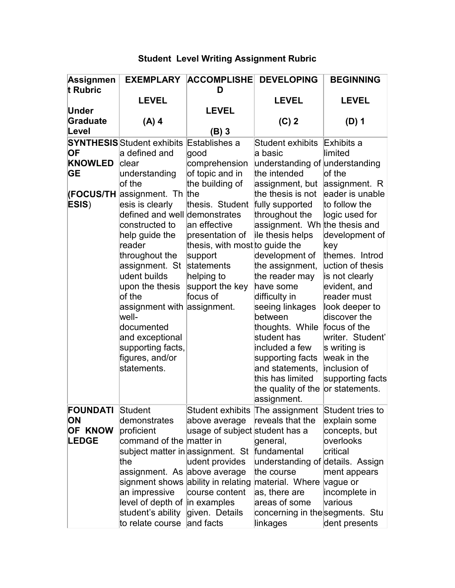#### **Assignmen t Rubric Under Graduate Level EXEMPLARY ACCOMPLISHE DEVELOPING LEVEL (A) 4 D LEVEL (B) 3 LEVEL (C) 2 BEGINNING LEVEL (D) 1 SYNTHESIS**|Student exhibits |Establishes a  $\overline{\mathsf{OF}}$ **KNOWLED GE (FOCUS/TH** assignment. Th the **ESIS**) a defined and clear understanding of the esis is clearly defined and well demonstrates constructed to help guide the reader throughout the assignment. St udent builds upon the thesis of the assignment with assignment. welldocumented and exceptional supporting facts, figures, and/or statements. good comprehension of topic and in the building of thesis. Student an effective presentation of thesis, with most $\sharp$ to guide the support statements helping to support the key focus of Student exhibits Exhibits a a basic understanding of understanding the intended assignment, but assignment. R the thesis is not fully supported throughout the assignment. Wh the thesis and ile thesis helps development of the assignment, the reader may have some difficulty in seeing linkages between thoughts. While focus of the student has included a few supporting facts and statements, this has limited the quality of the  $\vert$ or statements. assignment. limited of the eader is unable to follow the logic used for development of key themes. Introd uction of thesis is not clearly evident, and reader must look deeper to discover the writer. Student' s writing is weak in the inclusion of supporting facts **FOUNDATI** Student **ON OF KNOW LEDGE** demonstrates proficient command of the matter in subject matter in assignment. St the assignment. As above average signment shows ability in relating material. Where <sub>l</sub>vague or an impressive level of depth of in examples student's ability given. Details to relate course and facts Student exhibits The assignment Student tries to above average usage of subject <mark>student has a</mark> udent provides course content reveals that the general, fundamental understanding of details. Assign the course as, there are areas of some concerning in the segments. Stu linkages explain some concepts, but overlooks critical ment appears incomplete in various dent presents

#### **Student Level Writing Assignment Rubric**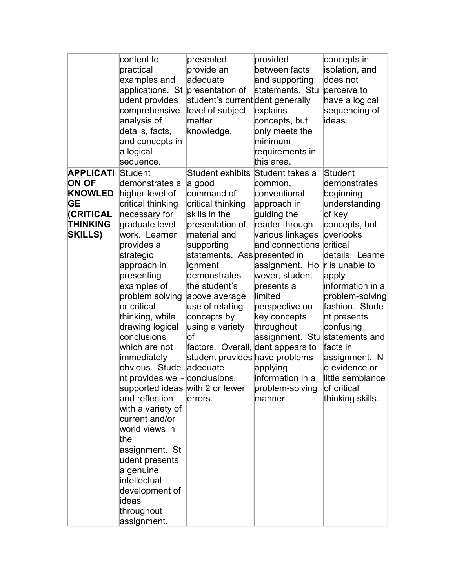|                  | content to                      | presented                         | provided                       | concepts in                       |
|------------------|---------------------------------|-----------------------------------|--------------------------------|-----------------------------------|
|                  | practical                       | provide an                        | between facts                  | isolation, and                    |
|                  | examples and                    | adequate                          | and supporting                 | does not                          |
|                  | applications. St                | presentation of                   | statements. Stu                | perceive to                       |
|                  | udent provides                  | student's current dent generally  |                                | have a logical                    |
|                  | comprehensive                   | level of subject                  | explains                       | sequencing of                     |
|                  | analysis of                     | matter                            | concepts, but                  | ideas.                            |
|                  | details, facts,                 | knowledge.                        | only meets the                 |                                   |
|                  | and concepts in                 |                                   | minimum                        |                                   |
|                  | a logical                       |                                   | requirements in                |                                   |
|                  | sequence.                       |                                   | this area.                     |                                   |
| <b>APPLICATI</b> | Student                         | <b>Student exhibits</b>           | Student takes a                | Student                           |
| <b>ON OF</b>     | demonstrates a                  | a good                            | common,                        | demonstrates                      |
| <b>KNOWLED</b>   | higher-level of                 | command of                        | conventional                   | beginning                         |
| GE               | critical thinking               | critical thinking                 | approach in                    | understanding                     |
| <b>CRITICAL</b>  | necessary for                   | skills in the                     | guiding the                    | of key                            |
| <b>THINKING</b>  | graduate level                  | presentation of                   | reader through                 | concepts, but                     |
| <b>SKILLS)</b>   | work. Learner                   | material and                      | various linkages               | overlooks                         |
|                  | provides a                      | supporting                        | and connections                | critical                          |
|                  | strategic                       | statements. Ass presented in      |                                | details. Learne                   |
|                  | approach in                     | ignment                           | assignment. Ho                 | r is unable to                    |
|                  | presenting                      | demonstrates                      | wever, student                 | apply                             |
|                  | examples of                     | the student's                     | presents a                     | information in a                  |
|                  | problem solving                 |                                   | limited                        |                                   |
|                  | or critical                     | above average<br>use of relating  |                                | problem-solving<br>fashion. Stude |
|                  |                                 |                                   | perspective on                 |                                   |
|                  | thinking, while                 | concepts by                       | key concepts                   | nt presents                       |
|                  | drawing logical<br>conclusions  | using a variety<br>of             | throughout                     | confusing                         |
|                  |                                 |                                   | assignment. Stu statements and |                                   |
|                  | which are not                   | factors. Overall, dent appears to |                                | facts in                          |
|                  | immediately                     | student provides have problems    |                                | assignment. N                     |
|                  | obvious. Stude                  | adequate                          | applying                       | o evidence or                     |
|                  | nt provides well- conclusions,  |                                   | information in a               | little semblance                  |
|                  | supported ideas with 2 or fewer |                                   | problem-solving                | of critical                       |
|                  | and reflection                  | errors.                           | manner.                        | thinking skills.                  |
|                  | with a variety of               |                                   |                                |                                   |
|                  | current and/or                  |                                   |                                |                                   |
|                  | world views in                  |                                   |                                |                                   |
|                  | the                             |                                   |                                |                                   |
|                  | assignment. St                  |                                   |                                |                                   |
|                  | udent presents                  |                                   |                                |                                   |
|                  | a genuine                       |                                   |                                |                                   |
|                  | intellectual                    |                                   |                                |                                   |
|                  | development of                  |                                   |                                |                                   |
|                  | ideas                           |                                   |                                |                                   |
|                  | throughout                      |                                   |                                |                                   |
|                  | assignment.                     |                                   |                                |                                   |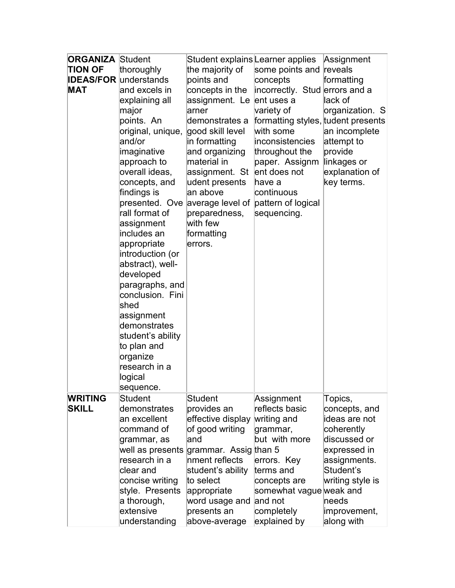| <b>ORGANIZA Student</b>      |                                 | Student explains Learner applies |                                    | Assignment       |
|------------------------------|---------------------------------|----------------------------------|------------------------------------|------------------|
| <b>TION OF</b>               | thoroughly                      | the majority of                  | some points and reveals            |                  |
| <b>IDEAS/FOR</b> understands |                                 | points and                       | concepts                           | formatting       |
| <b>MAT</b>                   | and excels in                   | concepts in the                  | incorrectly. Stud errors and a     |                  |
|                              | explaining all                  | assignment. Le                   | lent uses a                        | lack of          |
|                              | major                           | larner                           | variety of                         | organization. S  |
|                              | points. An                      | demonstrates a                   | formatting styles, tudent presents |                  |
|                              | original, unique,               | good skill level                 | with some                          | an incomplete    |
|                              | and/or                          | in formatting                    | inconsistencies                    | attempt to       |
|                              | imaginative                     | and organizing                   | throughout the                     | provide          |
|                              | approach to                     | material in                      | paper. Assignm                     | linkages or      |
|                              | overall ideas,                  | assignment. St                   | ent does not                       | explanation of   |
|                              | concepts, and                   | udent presents                   | have a                             | key terms.       |
|                              | findings is                     | an above                         | continuous                         |                  |
|                              | presented. Ove average level of |                                  | pattern of logical                 |                  |
|                              | rall format of                  | preparedness,                    | sequencing.                        |                  |
|                              | assignment                      | with few                         |                                    |                  |
|                              | includes an                     | formatting                       |                                    |                  |
|                              | appropriate                     | errors.                          |                                    |                  |
|                              | introduction (or                |                                  |                                    |                  |
|                              | abstract), well-                |                                  |                                    |                  |
|                              | developed                       |                                  |                                    |                  |
|                              | paragraphs, and                 |                                  |                                    |                  |
|                              | conclusion. Fini                |                                  |                                    |                  |
|                              | shed                            |                                  |                                    |                  |
|                              | assignment                      |                                  |                                    |                  |
|                              | demonstrates                    |                                  |                                    |                  |
|                              | student's ability               |                                  |                                    |                  |
|                              | to plan and                     |                                  |                                    |                  |
|                              | organize                        |                                  |                                    |                  |
|                              | ∣research in a                  |                                  |                                    |                  |
|                              | logical                         |                                  |                                    |                  |
|                              | sequence.                       |                                  |                                    |                  |
| <b>WRITING</b>               | Student                         | Student                          | Assignment                         | Topics,          |
| <b>SKILL</b>                 | demonstrates                    | provides an                      | reflects basic                     | concepts, and    |
|                              | an excellent                    | effective display                | writing and                        | ideas are not    |
|                              | command of                      | of good writing                  | grammar,                           | coherently       |
|                              | grammar, as                     | land                             | but with more                      | discussed or     |
|                              | well as presents                | grammar. Assig than 5            |                                    | expressed in     |
|                              | research in a                   | nment reflects                   | errors. Key                        | assignments.     |
|                              | clear and                       | student's ability                | terms and                          | Student's        |
|                              | concise writing                 | to select                        | concepts are                       | writing style is |
|                              | style. Presents                 | appropriate                      | somewhat vague weak and            |                  |
|                              | a thorough,                     | word usage and                   | and not                            | needs            |
|                              | extensive                       | presents an                      | completely                         | improvement,     |
|                              | understanding                   | above-average                    | explained by                       | along with       |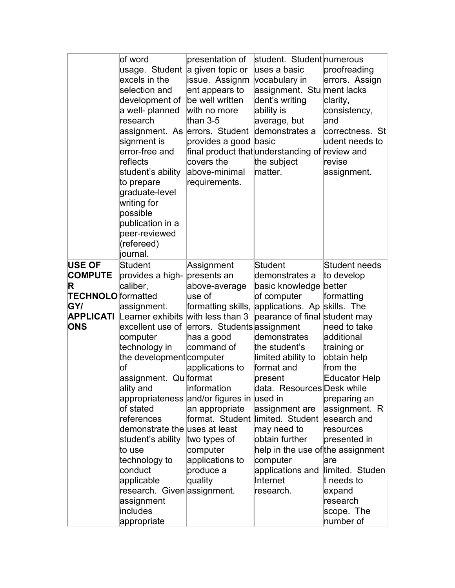|                                                                                                                             | of word<br>usage. Student<br>excels in the<br>selection and<br>development of<br>a well- planned<br>research<br>assignment. As errors. Student<br>signment is<br>error-free and<br>reflects<br>student's ability<br>to prepare<br>graduate-level<br>writing for<br>possible<br>publication in a<br>peer-reviewed<br>(refereed)<br>journal.                                                                                               | presentation of<br>a given topic or<br>issue. Assignm<br>ent appears to<br>be well written<br>with no more<br>than 3-5<br>provides a good basic<br>covers the<br>above-minimal<br>requirements.                                                                                                             | student. Student numerous<br>uses a basic<br>vocabulary in<br>assignment. Stu ment lacks<br>dent's writing<br>ability is<br>average, but<br>demonstrates a<br>final product that∣understanding of review and<br>the subject<br>matter.                                                                                                                                                                                             | proofreading<br>errors. Assign<br>clarity,<br>consistency,<br>land<br>correctness. St<br>udent needs to<br>revise<br>assignment.                                                                                                                                                                                          |
|-----------------------------------------------------------------------------------------------------------------------------|------------------------------------------------------------------------------------------------------------------------------------------------------------------------------------------------------------------------------------------------------------------------------------------------------------------------------------------------------------------------------------------------------------------------------------------|-------------------------------------------------------------------------------------------------------------------------------------------------------------------------------------------------------------------------------------------------------------------------------------------------------------|------------------------------------------------------------------------------------------------------------------------------------------------------------------------------------------------------------------------------------------------------------------------------------------------------------------------------------------------------------------------------------------------------------------------------------|---------------------------------------------------------------------------------------------------------------------------------------------------------------------------------------------------------------------------------------------------------------------------------------------------------------------------|
| <b>USE OF</b><br><b>COMPUTE</b><br>$\mathsf R$<br><b>TECHNOLO</b> formatted<br><b>GY/</b><br><b>APPLICATI</b><br><b>ONS</b> | <b>Student</b><br>provides a high-<br>caliber,<br>assignment.<br>Learner exhibits with less than 3<br>excellent use of<br>computer<br>technology in<br>the development computer<br>of<br>assignment. Qu format<br>ality and<br>of stated<br>references<br>demonstrate the uses at least<br>student's ability<br>to use<br>technology to<br>conduct<br>applicable<br>research. Given assignment.<br>assignment<br>includes<br>appropriate | Assignment<br>presents an<br>above-average<br>luse of<br>errors. Students assignment<br>has a good<br>command of<br>applications to<br>information<br>appropriateness and/or figures in used in<br>an appropriate<br>format. Student<br>two types of<br>computer<br>applications to<br>produce a<br>quality | Student<br>demonstrates a<br>basic knowledge<br>of computer<br>formatting skills, applications. Ap skills. The<br>pearance of final student may<br>demonstrates<br>the student's<br>limited ability to<br>format and<br>present<br>data. Resources Desk while<br>assignment are<br>limited. Student<br>may need to<br>obtain further<br>help in the use of the assignment<br>computer<br>applications and<br>Internet<br>research. | Student needs<br>to develop<br>better<br>formatting<br>need to take<br>additional<br>training or<br>obtain help<br>from the<br><b>Educator Help</b><br>preparing an<br>assignment. R<br>esearch and<br>resources<br>presented in<br>are<br>limited. Studen<br>t needs to<br>expand<br>research<br>scope. The<br>number of |